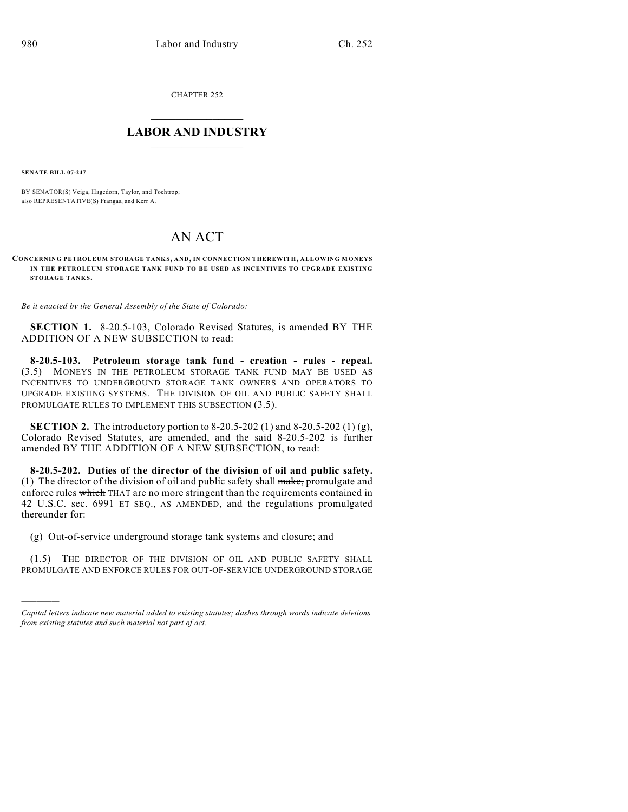CHAPTER 252

## $\mathcal{L}_\text{max}$  . The set of the set of the set of the set of the set of the set of the set of the set of the set of the set of the set of the set of the set of the set of the set of the set of the set of the set of the set **LABOR AND INDUSTRY**  $\frac{1}{\sqrt{2}}$  ,  $\frac{1}{\sqrt{2}}$  ,  $\frac{1}{\sqrt{2}}$  ,  $\frac{1}{\sqrt{2}}$  ,  $\frac{1}{\sqrt{2}}$  ,  $\frac{1}{\sqrt{2}}$

**SENATE BILL 07-247**

)))))

BY SENATOR(S) Veiga, Hagedorn, Taylor, and Tochtrop; also REPRESENTATIVE(S) Frangas, and Kerr A.

## AN ACT

**CONCERNING PETROLEUM STORAGE TANK S, AND, IN CONNECTION THEREWITH, ALLOWING MONEYS IN THE PETROLEUM STORAGE TANK FUND TO BE USED AS INCENTIVES TO UPGRADE EXISTING STORAGE TANK S.**

*Be it enacted by the General Assembly of the State of Colorado:*

**SECTION 1.** 8-20.5-103, Colorado Revised Statutes, is amended BY THE ADDITION OF A NEW SUBSECTION to read:

**8-20.5-103. Petroleum storage tank fund - creation - rules - repeal.** (3.5) MONEYS IN THE PETROLEUM STORAGE TANK FUND MAY BE USED AS INCENTIVES TO UNDERGROUND STORAGE TANK OWNERS AND OPERATORS TO UPGRADE EXISTING SYSTEMS. THE DIVISION OF OIL AND PUBLIC SAFETY SHALL PROMULGATE RULES TO IMPLEMENT THIS SUBSECTION (3.5).

**SECTION 2.** The introductory portion to 8-20.5-202 (1) and 8-20.5-202 (1) (g), Colorado Revised Statutes, are amended, and the said 8-20.5-202 is further amended BY THE ADDITION OF A NEW SUBSECTION, to read:

**8-20.5-202. Duties of the director of the division of oil and public safety.** (1) The director of the division of oil and public safety shall  $\frac{m}{\text{ake}}$ , promulgate and enforce rules which THAT are no more stringent than the requirements contained in 42 U.S.C. sec. 6991 ET SEQ., AS AMENDED, and the regulations promulgated thereunder for:

## (g) Out-of-service underground storage tank systems and closure; and

(1.5) THE DIRECTOR OF THE DIVISION OF OIL AND PUBLIC SAFETY SHALL PROMULGATE AND ENFORCE RULES FOR OUT-OF-SERVICE UNDERGROUND STORAGE

*Capital letters indicate new material added to existing statutes; dashes through words indicate deletions from existing statutes and such material not part of act.*